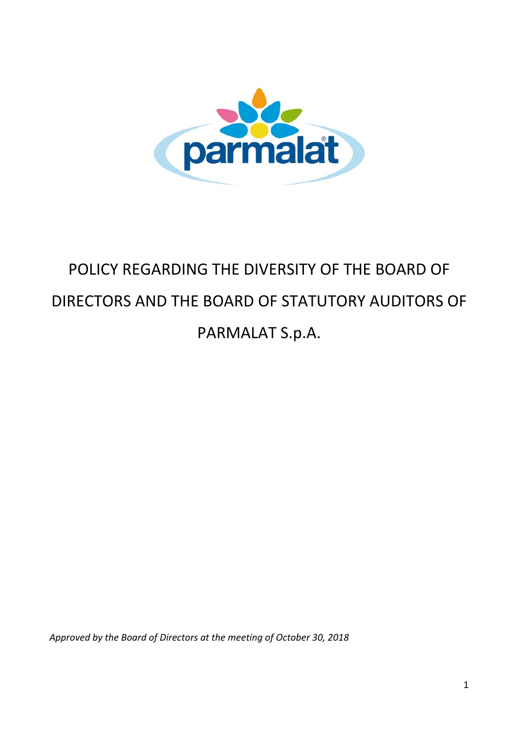

# POLICY REGARDING THE DIVERSITY OF THE BOARD OF DIRECTORS AND THE BOARD OF STATUTORY AUDITORS OF PARMALAT S.p.A.

*Approved by the Board of Directors at the meeting of October 30, 2018*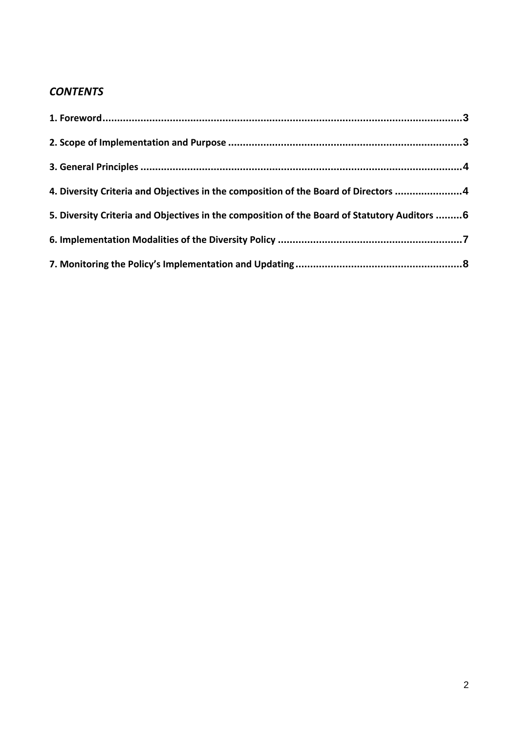## *CONTENTS*

| 4. Diversity Criteria and Objectives in the composition of the Board of Directors  4          |  |
|-----------------------------------------------------------------------------------------------|--|
| 5. Diversity Criteria and Objectives in the composition of the Board of Statutory Auditors  6 |  |
|                                                                                               |  |
|                                                                                               |  |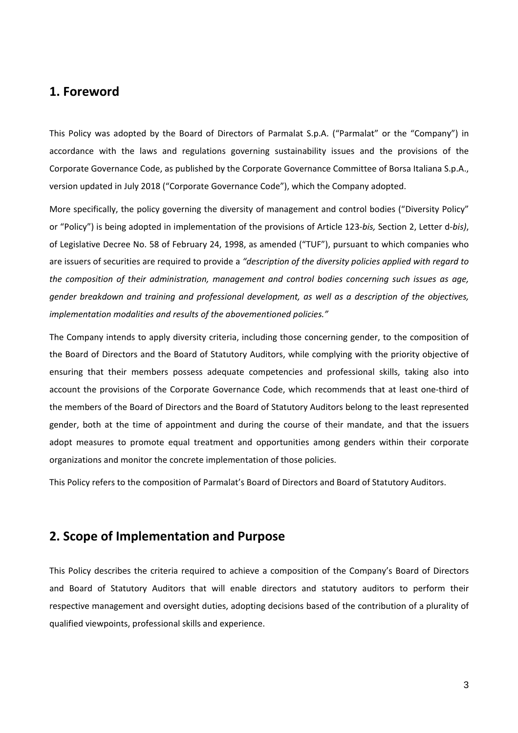#### **1. Foreword**

This Policy was adopted by the Board of Directors of Parmalat S.p.A. ("Parmalat" or the "Company") in accordance with the laws and regulations governing sustainability issues and the provisions of the Corporate Governance Code, as published by the Corporate Governance Committee of Borsa Italiana S.p.A., version updated in July 2018 ("Corporate Governance Code"), which the Company adopted.

More specifically, the policy governing the diversity of management and control bodies ("Diversity Policy" or "Policy") is being adopted in implementation of the provisions of Article 123‐*bis,* Section 2, Letter d‐*bis)*, of Legislative Decree No. 58 of February 24, 1998, as amended ("TUF"), pursuant to which companies who are issuers of securities are required to provide a *"description of the diversity policies applied with regard to the composition of their administration, management and control bodies concerning such issues as age, gender breakdown and training and professional development, as well as a description of the objectives, implementation modalities and results of the abovementioned policies."*

The Company intends to apply diversity criteria, including those concerning gender, to the composition of the Board of Directors and the Board of Statutory Auditors, while complying with the priority objective of ensuring that their members possess adequate competencies and professional skills, taking also into account the provisions of the Corporate Governance Code, which recommends that at least one‐third of the members of the Board of Directors and the Board of Statutory Auditors belong to the least represented gender, both at the time of appointment and during the course of their mandate, and that the issuers adopt measures to promote equal treatment and opportunities among genders within their corporate organizations and monitor the concrete implementation of those policies.

This Policy refers to the composition of Parmalat's Board of Directors and Board of Statutory Auditors.

#### **2. Scope of Implementation and Purpose**

This Policy describes the criteria required to achieve a composition of the Company's Board of Directors and Board of Statutory Auditors that will enable directors and statutory auditors to perform their respective management and oversight duties, adopting decisions based of the contribution of a plurality of qualified viewpoints, professional skills and experience.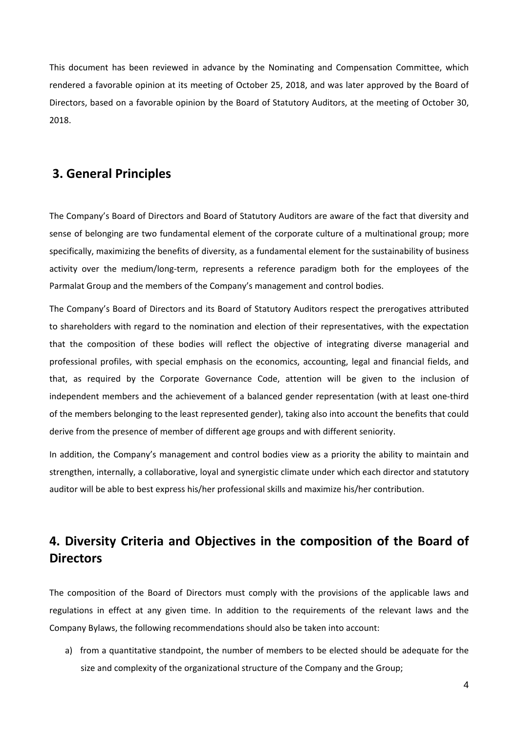This document has been reviewed in advance by the Nominating and Compensation Committee, which rendered a favorable opinion at its meeting of October 25, 2018, and was later approved by the Board of Directors, based on a favorable opinion by the Board of Statutory Auditors, at the meeting of October 30, 2018.

### **3. General Principles**

The Company's Board of Directors and Board of Statutory Auditors are aware of the fact that diversity and sense of belonging are two fundamental element of the corporate culture of a multinational group; more specifically, maximizing the benefits of diversity, as a fundamental element for the sustainability of business activity over the medium/long-term, represents a reference paradigm both for the employees of the Parmalat Group and the members of the Company's management and control bodies.

The Company's Board of Directors and its Board of Statutory Auditors respect the prerogatives attributed to shareholders with regard to the nomination and election of their representatives, with the expectation that the composition of these bodies will reflect the objective of integrating diverse managerial and professional profiles, with special emphasis on the economics, accounting, legal and financial fields, and that, as required by the Corporate Governance Code, attention will be given to the inclusion of independent members and the achievement of a balanced gender representation (with at least one‐third of the members belonging to the least represented gender), taking also into account the benefits that could derive from the presence of member of different age groups and with different seniority.

In addition, the Company's management and control bodies view as a priority the ability to maintain and strengthen, internally, a collaborative, loyal and synergistic climate under which each director and statutory auditor will be able to best express his/her professional skills and maximize his/her contribution.

## **4. Diversity Criteria and Objectives in the composition of the Board of Directors**

The composition of the Board of Directors must comply with the provisions of the applicable laws and regulations in effect at any given time. In addition to the requirements of the relevant laws and the Company Bylaws, the following recommendations should also be taken into account:

a) from a quantitative standpoint, the number of members to be elected should be adequate for the size and complexity of the organizational structure of the Company and the Group;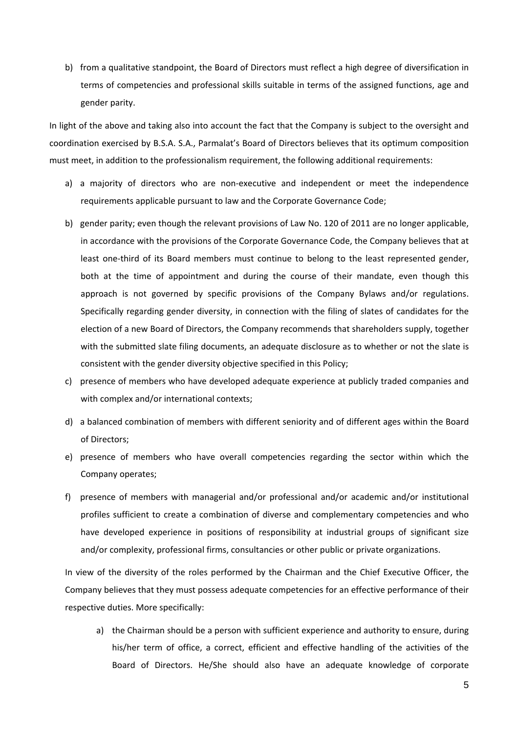b) from a qualitative standpoint, the Board of Directors must reflect a high degree of diversification in terms of competencies and professional skills suitable in terms of the assigned functions, age and gender parity.

In light of the above and taking also into account the fact that the Company is subject to the oversight and coordination exercised by B.S.A. S.A., Parmalat's Board of Directors believes that its optimum composition must meet, in addition to the professionalism requirement, the following additional requirements:

- a) a majority of directors who are non-executive and independent or meet the independence requirements applicable pursuant to law and the Corporate Governance Code;
- b) gender parity; even though the relevant provisions of Law No. 120 of 2011 are no longer applicable, in accordance with the provisions of the Corporate Governance Code, the Company believes that at least one-third of its Board members must continue to belong to the least represented gender, both at the time of appointment and during the course of their mandate, even though this approach is not governed by specific provisions of the Company Bylaws and/or regulations. Specifically regarding gender diversity, in connection with the filing of slates of candidates for the election of a new Board of Directors, the Company recommends that shareholders supply, together with the submitted slate filing documents, an adequate disclosure as to whether or not the slate is consistent with the gender diversity objective specified in this Policy;
- c) presence of members who have developed adequate experience at publicly traded companies and with complex and/or international contexts;
- d) a balanced combination of members with different seniority and of different ages within the Board of Directors;
- e) presence of members who have overall competencies regarding the sector within which the Company operates;
- f) presence of members with managerial and/or professional and/or academic and/or institutional profiles sufficient to create a combination of diverse and complementary competencies and who have developed experience in positions of responsibility at industrial groups of significant size and/or complexity, professional firms, consultancies or other public or private organizations.

In view of the diversity of the roles performed by the Chairman and the Chief Executive Officer, the Company believes that they must possess adequate competencies for an effective performance of their respective duties. More specifically:

a) the Chairman should be a person with sufficient experience and authority to ensure, during his/her term of office, a correct, efficient and effective handling of the activities of the Board of Directors. He/She should also have an adequate knowledge of corporate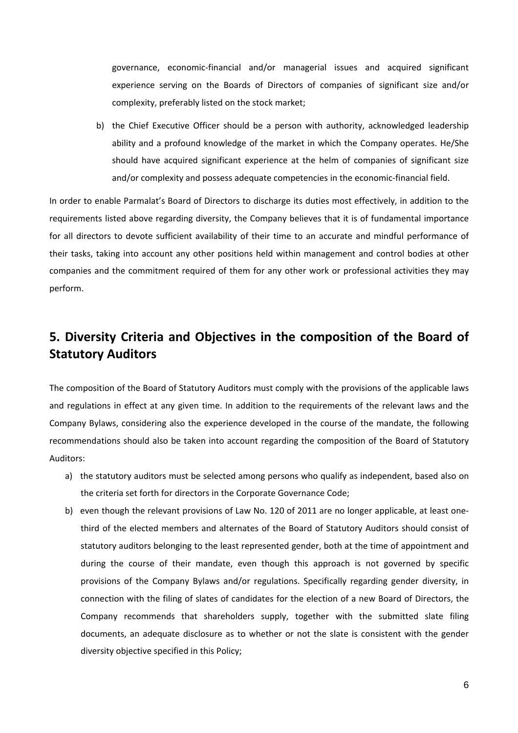governance, economic‐financial and/or managerial issues and acquired significant experience serving on the Boards of Directors of companies of significant size and/or complexity, preferably listed on the stock market;

b) the Chief Executive Officer should be a person with authority, acknowledged leadership ability and a profound knowledge of the market in which the Company operates. He/She should have acquired significant experience at the helm of companies of significant size and/or complexity and possess adequate competencies in the economic-financial field.

In order to enable Parmalat's Board of Directors to discharge its duties most effectively, in addition to the requirements listed above regarding diversity, the Company believes that it is of fundamental importance for all directors to devote sufficient availability of their time to an accurate and mindful performance of their tasks, taking into account any other positions held within management and control bodies at other companies and the commitment required of them for any other work or professional activities they may perform.

## **5. Diversity Criteria and Objectives in the composition of the Board of Statutory Auditors**

The composition of the Board of Statutory Auditors must comply with the provisions of the applicable laws and regulations in effect at any given time. In addition to the requirements of the relevant laws and the Company Bylaws, considering also the experience developed in the course of the mandate, the following recommendations should also be taken into account regarding the composition of the Board of Statutory Auditors:

- a) the statutory auditors must be selected among persons who qualify as independent, based also on the criteria set forth for directors in the Corporate Governance Code;
- b) even though the relevant provisions of Law No. 120 of 2011 are no longer applicable, at least onethird of the elected members and alternates of the Board of Statutory Auditors should consist of statutory auditors belonging to the least represented gender, both at the time of appointment and during the course of their mandate, even though this approach is not governed by specific provisions of the Company Bylaws and/or regulations. Specifically regarding gender diversity, in connection with the filing of slates of candidates for the election of a new Board of Directors, the Company recommends that shareholders supply, together with the submitted slate filing documents, an adequate disclosure as to whether or not the slate is consistent with the gender diversity objective specified in this Policy;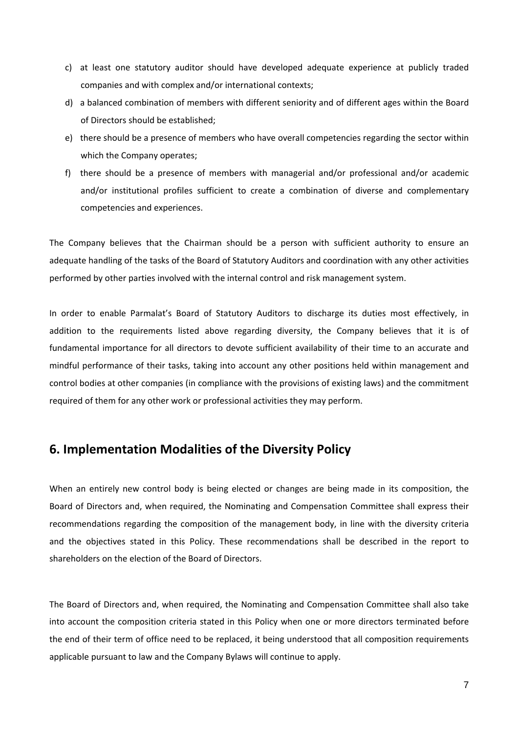- c) at least one statutory auditor should have developed adequate experience at publicly traded companies and with complex and/or international contexts;
- d) a balanced combination of members with different seniority and of different ages within the Board of Directors should be established;
- e) there should be a presence of members who have overall competencies regarding the sector within which the Company operates;
- f) there should be a presence of members with managerial and/or professional and/or academic and/or institutional profiles sufficient to create a combination of diverse and complementary competencies and experiences.

The Company believes that the Chairman should be a person with sufficient authority to ensure an adequate handling of the tasks of the Board of Statutory Auditors and coordination with any other activities performed by other parties involved with the internal control and risk management system.

In order to enable Parmalat's Board of Statutory Auditors to discharge its duties most effectively, in addition to the requirements listed above regarding diversity, the Company believes that it is of fundamental importance for all directors to devote sufficient availability of their time to an accurate and mindful performance of their tasks, taking into account any other positions held within management and control bodies at other companies (in compliance with the provisions of existing laws) and the commitment required of them for any other work or professional activities they may perform.

## **6. Implementation Modalities of the Diversity Policy**

When an entirely new control body is being elected or changes are being made in its composition, the Board of Directors and, when required, the Nominating and Compensation Committee shall express their recommendations regarding the composition of the management body, in line with the diversity criteria and the objectives stated in this Policy. These recommendations shall be described in the report to shareholders on the election of the Board of Directors.

The Board of Directors and, when required, the Nominating and Compensation Committee shall also take into account the composition criteria stated in this Policy when one or more directors terminated before the end of their term of office need to be replaced, it being understood that all composition requirements applicable pursuant to law and the Company Bylaws will continue to apply.